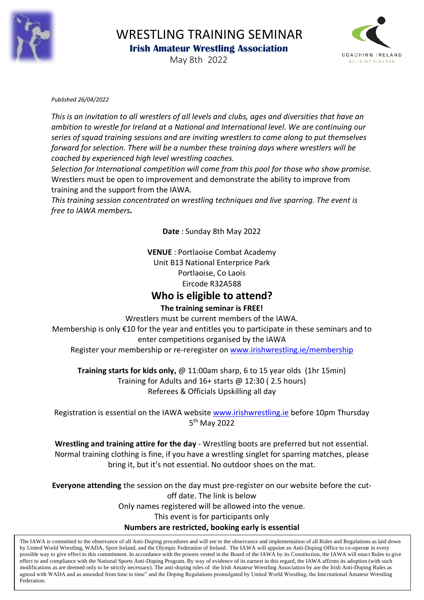

# WRESTLING TRAINING SEMINAR  **Irish Amateur Wrestling Association**



May 8th 2022

#### *Published 26/04/2022*

*This is an invitation to all wrestlers of all levels and clubs, ages and diversities that have an ambition to wrestle for Ireland at a National and International level. We are continuing our series of squad training sessions and are inviting wrestlers to come along to put themselves forward for selection. There will be a number these training days where wrestlers will be coached by experienced high level wrestling coaches.*

*Selection for International competition will come from this pool for those who show promise.*  Wrestlers must be open to improvement and demonstrate the ability to improve from training and the support from the IAWA.

*This training session concentrated on wrestling techniques and live sparring. The event is free to IAWA members.* 

**Date** : Sunday 8th May 2022

**VENUE** : Portlaoise Combat Academy Unit B13 National Enterprice Park Portlaoise, Co Laois Eircode R32A588

## **Who is eligible to attend?**

#### **The training seminar is FREE!**

Wrestlers must be current members of the IAWA.

Membership is only €10 for the year and entitles you to participate in these seminars and to enter competitions organised by the IAWA

Register your membership or re-reregister on [www.irishwrestling.ie/membership](http://www.irishwrestling.ie/membership)

**Training starts for kids only,** @ 11:00am sharp, 6 to 15 year olds (1hr 15min) Training for Adults and 16+ starts @ 12:30 ( 2.5 hours) Referees & Officials Upskilling all day

Registration is essential on the IAWA website [www.irishwrestling.ie](http://www.irishwrestling.ie/) before 10pm Thursday 5<sup>th</sup> May 2022

**Wrestling and training attire for the day** - Wrestling boots are preferred but not essential. Normal training clothing is fine, if you have a wrestling singlet for sparring matches, please bring it, but it's not essential. No outdoor shoes on the mat.

**Everyone attending** the session on the day must pre-register on our website before the cutoff date. The link is below Only names registered will be allowed into the venue. This event is for participants only **Numbers are restricted, booking early is essential** 

The IAWA is committed to the observance of all Anti-Doping procedures and will see to the observance and implementation of all Rules and Regulations as laid down by United World Wrestling, WADA, Sport Ireland, and the Olympic Federation of Ireland. The IAWA will appoint an Anti-Doping Office to co-operate in every possible way to give effect to this commitment. In accordance with the powers vested in the Board of the IAWA by its Constitution, the IAWA will enact Rules to give effect to and compliance with the National Sports Anti-Doping Program. By way of evidence of its earnest in this regard, the IAWA affirms its adoption (with such modifications as are deemed only to be strictly necessary). The anti-doping rules of the Irish Amateur Wrestling Association by are the Irish Anti-Doping Rules as agreed with WADA and as amended from time to time" and the Doping Regulations promulgated by United World Wrestling, the International Amateur Wrestling Federation.